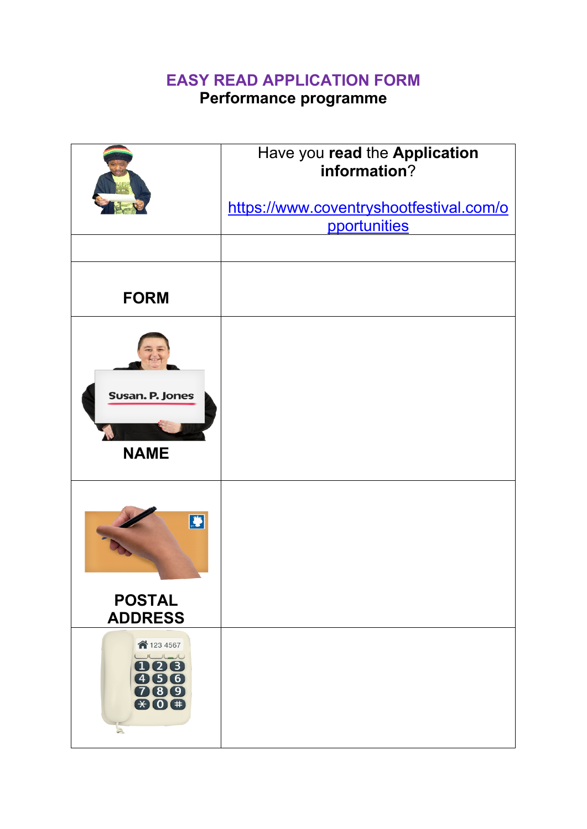## **EASY READ APPLICATION FORM**

## **Performance programme**

|                                                              | Have you read the Application<br>information?<br>https://www.coventryshootfestival.com/o<br>pportunities |
|--------------------------------------------------------------|----------------------------------------------------------------------------------------------------------|
|                                                              |                                                                                                          |
| <b>FORM</b>                                                  |                                                                                                          |
| Susan. P. Jones<br><b>NAME</b>                               |                                                                                                          |
| $\mathbf{B}$<br><b>POSTAL</b>                                |                                                                                                          |
| <b>ADDRESS</b><br>↑123 4567                                  |                                                                                                          |
| 006<br>456<br>789<br>$\bigoplus$ 0 $\bigoplus$<br>$\sqrt{2}$ |                                                                                                          |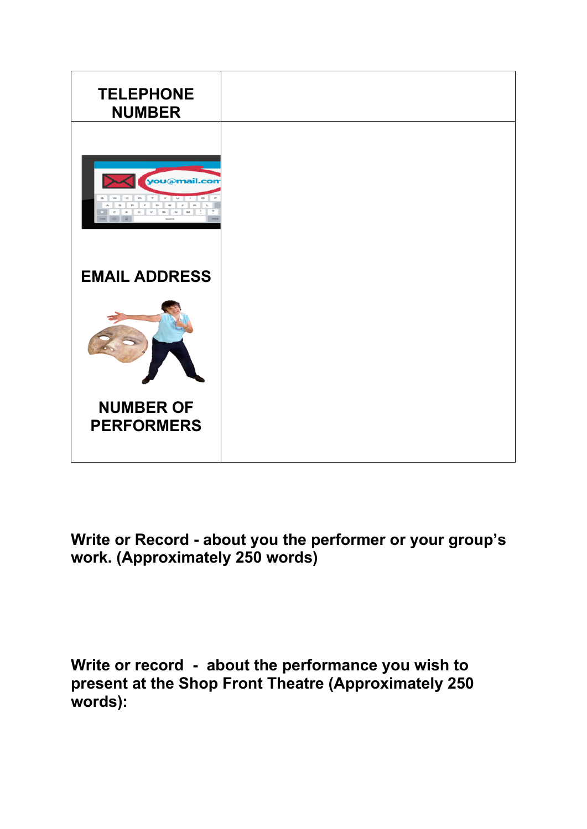

## **Write or Record - about you the performer or your group's work. (Approximately 250 words)**

**Write or record - about the performance you wish to present at the Shop Front Theatre (Approximately 250 words):**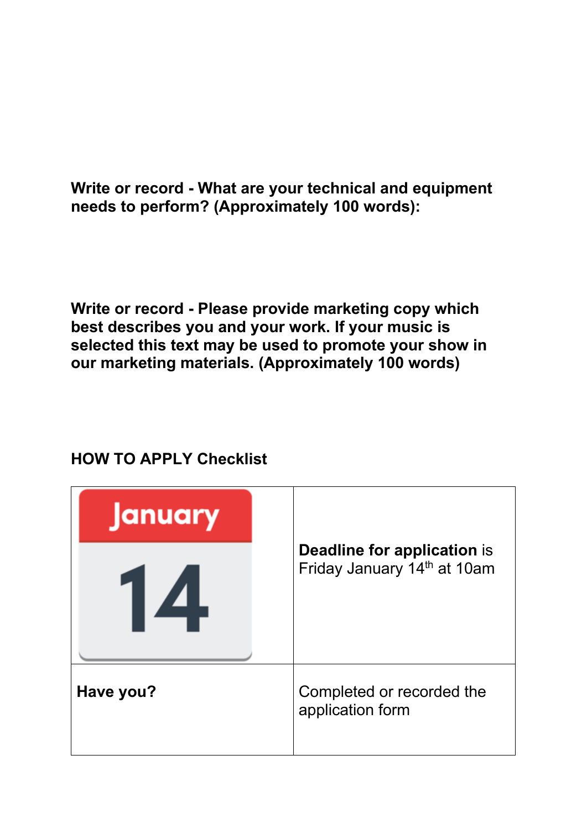**Write or record - What are your technical and equipment needs to perform? (Approximately 100 words):**

**Write or record - Please provide marketing copy which best describes you and your work. If your music is selected this text may be used to promote your show in our marketing materials. (Approximately 100 words)**

| <b>January</b>                |                                                                   |  |
|-------------------------------|-------------------------------------------------------------------|--|
| $\mathbf{1} \mathbf{\Lambda}$ | <b>Deadline for application is</b><br>Friday January 14th at 10am |  |
| Have you?                     | Completed or recorded the<br>application form                     |  |

## **HOW TO APPLY Checklist**